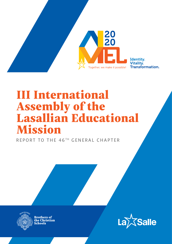

### III International Assembly of the Lasallian Educational Mission

REPORT TO THE 46TH GENERAL CHAPTER



**Brothers of<br>the Christian** chools

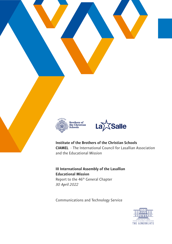



**Institute of the Brothers of the Christian Schools CIAMEL** - The International Council for Lasallian Association and the Educational Mission

**III International Assembly of the Lasallian Educational Mission** Report to the 46th General Chapter *30 April 2022*

Communications and Technology Service

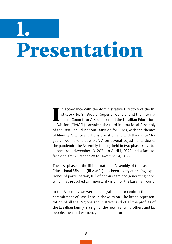### Presentation 1.

In accordance with the Administrative Directory of the Institute (No. 8), Brother Superior General and the International Council for Association and the Lasallian Educational Mission (CIAMEL) convoked the third Internation n accordance with the Administrative Directory of the Institute (No. 8), Brother Superior General and the International Council for Association and the Lasallian Educationof the Lasallian Educational Mission for 2020, with the themes of Identity, Vitality and Transformation and with the motto "Together we make it possible". After several adjustments due to the pandemic, the Assembly is being held in two phases: a virtual one, from November 10, 2021, to April 1, 2022 and a face-toface one, from October 28 to November 4, 2022.

The first phase of the III International Assembly of the Lasallian Educational Mission (III AIMEL) has been a very enriching experience of participation, full of enthusiasm and generating hope, which has provoked an important vision for the Lasallian world.

In the Assembly we were once again able to confirm the deep commitment of Lasallians in the Mission. The broad representation of all the Regions and Districts and of all the profiles of the Lasallian family is a sign of the new reality: Brothers and lay people, men and women, young and mature.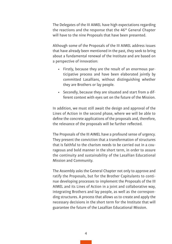The Delegates of the III AIMEL have high expectations regarding the reactions and the response that the 46<sup>th</sup> General Chapter will have to the nine Proposals that have been presented.

Although some of the Proposals of the III AIMEL address issues that have already been mentioned in the past, they seek to bring about a fundamental renewal of the Institute and are based on a perspective of innovation:

- Firstly, because they are the result of an enormous participative process and have been elaborated jointly by committed Lasallians, without distinguishing whether they are Brothers or lay people.
- Secondly, because they are situated and start from a different context with eyes set on the future of the Mission.

In addition, we must still await the design and approval of the Lines of Action in the second phase, where we will be able to define the concrete applications of the proposals and, therefore, the relevance of the proposals will be further reflected.

The Proposals of the III AIMEL have a profound sense of urgency. They present the conviction that a transformation of structures that is faithful to the charism needs to be carried out in a courageous and bold manner in the short term, in order to assure the continuity and sustainability of the Lasallian Educational Mission and Community.

The Assembly asks the General Chapter not only to approve and ratify the Proposals, but for the Brother Capitulants to continue developing processes to implement the Proposals of the III AIMEL and its Lines of Action in a joint and collaborative way, integrating Brothers and lay people, as well as the corresponding structures. A process that allows us to create and apply the necessary decisions in the short term for the Institute that will guarantee the future of the Lasallian Educational Mission.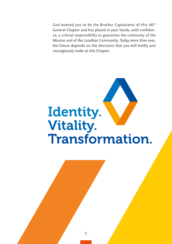God wanted you to be the Brother Capitulants of this 46th General Chapter and has placed in your hands, with confidence, a critical responsibility to guarantee the continuity of the Mission and of the Lasallian Community. Today more than ever, the future depends on the decisions that you will boldly and courageously make at this Chapter.

# **Identity.**<br>Vitality. **Transformation.**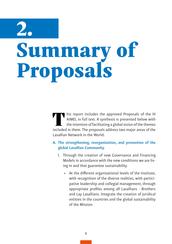### Summary of Proposals 2.

This report includes the approved Proposals of the III<br>AIMEL in full text. A synthesis is presented below with<br>the intention of facilitating a global vision of the themes<br>included in them. The proposals address two major a AIMEL in full text. A synthesis is presented below with the intention of facilitating a global vision of the themes included in them. The proposals address two major areas of the Lasallian Network in the World:

#### **A. The strengthening, reorganization, and promotion of the global Lasallian Community.**

- 1. Through the creation of new Governance and Financing Models in accordance with the new conditions we are living in and that guarantee sustainability.
	- At the different organizational levels of the Institute, with recognition of the diverse realities, with participative leadership and collegial management, through appropriate profiles among all Lasallians - Brothers and Lay Lasallians. Integrate the creation of juridical entities in the countries and the global sustainability of the Mission.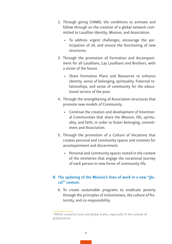- 2. Through giving CIAMEL the conditions to animate and follow through on the creation of a global network committed to Lasallian Identity, Mission, and Association.
	- To address urgent challenges, encourage the participation of all, and ensure the functioning of new structures.
- 3. Through the promotion of Formation and Accompaniment for all Lasallians, Lay Lasallians and Brothers, with a vision of the future.
	- Share Formation Plans and Resources to enhance identity, sense of belonging, spirituality, fraternal relationships, and sense of community for the educational service of the poor.
- 4. Through the strengthening of Association structures that promote new models of Community.
	- Continue the creation and development of Intentional Communities that share the Mission, life, spirituality, and faith, in order to foster belonging, commitment and Association.
- 5. Through the promotion of a Culture of Vocations that creates personal and community spaces and contexts for accompaniment and discernment.
	- Personal and community spaces rooted in the context of the ministries that engage the vocational journey of each person in new forms of community life.

#### **B. The updating of the Mission's lines of work in a new "glocal"1 context.**

6. To create sustainable programs to eradicate poverty through the principles of inclusiveness, the culture of fraternity, and co-responsibility.

<sup>&</sup>lt;sup>1</sup> Which connects local and global scales, especially in the context of globalization.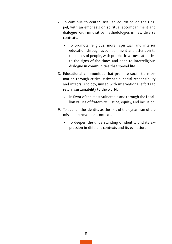- 7. To continue to center Lasallian education on the Gospel, with an emphasis on spiritual accompaniment and dialogue with innovative methodologies in new diverse contexts.
	- To promote religious, moral, spiritual, and interior education through accompaniment and attention to the needs of people, with prophetic witness attentive to the signs of the times and open to interreligious dialogue in communities that spread life.
- 8. Educational communities that promote social transformation through critical citizenship, social responsibility and integral ecology, united with international efforts to return sustainability to the world.
	- In favor of the most vulnerable and through the Lasallian values of fraternity, justice, equity, and inclusion.
- 9. To deepen the identity as the axis of the dynamism of the mission in new local contexts.
	- To deepen the understanding of identity and its expression in different contexts and its evolution.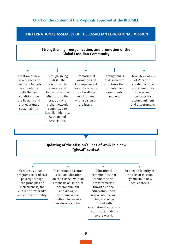#### **Chart on the content of the Proposals approved at the III AIMEL**

#### **III INTERNATIONAL ASSEMBLY OF THE LASALLIAN EDUCATIONAL MISSION**

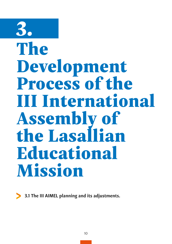### The Development Process of the III International Assembly of the Lasallian Educational Mission 3.

**3.1 The III AIMEL planning and its adjustments.**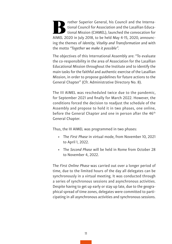From Tensor General, his Council and the Interna-<br>tional Council for Association and the Lasallian Educa-<br>tional Mission (CIAMEL), launched the convocation for<br>AIMEL 2020 in July 2018, to be held May 4-15, 2020, announctional Council for Association and the Lasallian Educational Mission (CIAMEL), launched the convocation for AIMEL 2020 in July 2018, to be held May 4-15, 2020, announcing the themes of *Identity, Vitality and Transformation* and with the motto *"Together we make it possible".*

The objectives of this International Assembly are: "To evaluate the co-responsibility in the area of Association for the Lasallian Educational Mission throughout the Institute and to identify the main tasks for the faithful and authentic exercise of the Lasallian Mission, in order to propose guidelines for future actions to the General Chapter" (Cfr. Administrative Directory No. 8).

The III AIMEL was rescheduled twice due to the pandemic, for September 2021 and finally for March 2022. However, the conditions forced the decision to readjust the schedule of the Assembly and propose to hold it in two phases, one online, before the General Chapter and one in person after the 46<sup>th</sup> General Chapter.

Thus, the III AIMEL was programmed in two phases:

- The *First Phase* in virtual mode, from November 10, 2021 to April 1, 2022.
- The *Second Phase* will be held in Rome from October 28 to November 4, 2022.

The *First Online Phase* was carried out over a longer period of time, due to the limited hours of the day all delegates can be synchronously in a virtual meeting. It was conducted through a series of synchronous sessions and asynchronous activities. Despite having to get up early or stay up late, due to the geographical spread of time zones, delegates were committed to participating in all asynchronous activities and synchronous sessions.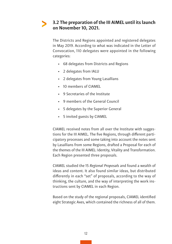#### **3.2 The preparation of the III AIMEL until its launch on November 10, 2021.**

The Districts and Regions appointed and registered delegates in May 2019. According to what was indicated in the Letter of Convocation, 110 delegates were appointed in the following categories:

- 68 delegates from Districts and Regions
- 2 delegates from IALU
- 2 delegates from Young Lasallians
- 10 members of CIAMEL
- 9 Secretaries of the Institute
- 9 members of the General Council
- 5 delegates by the Superior General
- 5 invited guests by CIAMEL

CIAMEL received notes from all over the Institute with suggestions for the III AIMEL. The five Regions, through different participatory processes and some taking into account the notes sent by Lasallians from some Regions, drafted a Proposal for each of the themes of the III AIMEL: Identity, Vitality and Transformation. Each Region presented three proposals.

CIAMEL studied the 15 *Regional Proposals* and found a wealth of ideas and content. It also found similar ideas, but distributed differently in each "set" of proposals, according to the way of thinking, the culture, and the way of interpreting the work instructions sent by CIAMEL in each Region.

Based on the study of the regional proposals, CIAMEL identified eight Strategic Axes, which contained the richness of all of them.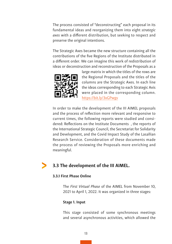The process consisted of "deconstructing" each proposal in its fundamental ideas and reorganizing them into eight *strategic axes* with a different distribution, but seeking to respect and preserve the original intentions.

The Strategic Axes became the new structure containing all the contributions of the five Regions of the Institute distributed in a different order. We can imagine this work of redistribution of ideas or deconstruction and reconstruction of the Proposals as a



large matrix in which the titles of the rows are the Regional Proposals and the titles of the columns are the Strategic Axes. In each line the ideas corresponding to each Strategic Axis were placed in the corresponding column. https://bit.ly/3xGPwgv

In order to make the development of the III AIMEL proposals and the process of reflection more relevant and responsive to current times, the following reports were studied and considered: Reflections on the Institute Documents , the reports of the International Strategic Council, the Secretariat for Solidarity and Development, and the Covid Impact Study of the Lasallian Research Service. Consideration of these documents made the process of reviewing the Proposals more enriching and meaningful.

#### **3.3 The development of the III AIMEL.**

#### **3.3.1 First Phase Online**

The *First Virtual Phase* of the AIMEL from November 10, 2021 to April 1, 2022. It was organized in three stages:

#### **Stage 1. Input**

This stage consisted of some synchronous meetings and several asynchronous activities, which allowed the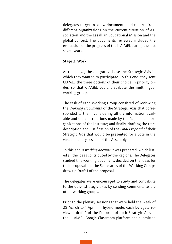delegates to get to know documents and reports from different organizations on the current situation of Association and the Lasallian Educational Mission and the global context. The documents reviewed included the evaluation of the progress of the II AIMEL during the last seven years.

#### **Stage 2. Work**

At this stage, the delegates chose the Strategic Axis in which they wanted to participate. To this end, they sent CIAMEL the three options of their choice in priority order, so that CIAMEL could distribute the multilingual working groups.

The task of each Working Group consisted of reviewing the *Working Documents* of the Strategic Axis that corresponded to them; considering all the information available and the contributions made by the Regions and organizations of the Institute; and finally, drafting the title, description and justification of the *Final Proposal* of their Strategic Axis that would be presented for a vote in the virtual plenary session of the Assembly.

To this end, a *working document* was prepared, which listed all the ideas contributed by the Regions. The Delegates studied this working document, decided on the ideas for their proposal and the Secretaries of the Working Groups drew up Draft 1 of the proposal.

The delegates were encouraged to study and contribute to the other strategic axes by sending comments to the other working groups.

Prior to the plenary sessions that were held the week of 28 March to 1 April in hybrid mode, each Delegate reviewed draft 1 of the Proposal of each Strategic Axis in the III AIMEL Google Classroom platform and submitted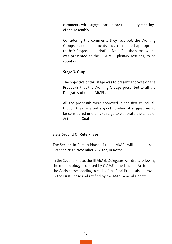comments with suggestions before the plenary meetings of the Assembly.

Considering the comments they received, the Working Groups made adjustments they considered appropriate to their Proposal and drafted Draft 2 of the same, which was presented at the III AIMEL plenary sessions, to be voted on.

#### **Stage 3. Output**

The objective of this stage was to present and vote on the Proposals that the Working Groups presented to all the Delegates of the III AIMEL.

All the proposals were approved in the first round, although they received a good number of suggestions to be considered in the next stage to elaborate the Lines of Action and Goals.

#### **3.3.2 Second On-Site Phase**

The Second In-Person Phase of the III AIMEL will be held from October 28 to November 4, 2022, in Rome.

In the Second Phase, the III AIMEL Delegates will draft, following the methodology proposed by CIAMEL, the Lines of Action and the Goals corresponding to each of the Final Proposals approved in the First Phase and ratified by the 46th General Chapter.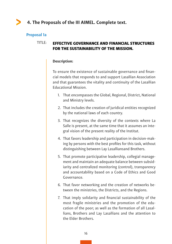

**4. The Proposals of the III AIMEL. Complete text.**

#### **Proposal 1a**

#### TITLE: EFFECTIVE GOVERNANCE AND FINANCIAL STRUCTURES FOR THE SUSTAINABILITY OF THE MISSION.

#### **Description:**

To ensure the existence of sustainable governance and financial models that responds to and support Lasallian Association and that guarantees the vitality and continuity of the Lasallian Educational Mission.

- 1. That encompasses the Global, Regional, District, National and Ministry levels.
- 2. That includes the creation of juridical entities recognized by the national laws of each country.
- 3. That recognizes the diversity of the contexts where La Salle is present, at the same time that it assumes an integral vision of the present reality of the Institut.
- 4. That favors leadership and participation in decision-making by persons with the best profiles for this task, without distinguishing between Lay Lasalliansand Brothers.
- 5. That promote participative leadership, collegial management and maintain an adequate balance between subsidiarity and centralized monitoring (control), transparency and accountability based on a Code of Ethics and Good Governance.
- 6. That favor networking and the creation of networks between the ministries, the Districts, and the Regions.
- 7. That imply solidarity and financial sustainability of the most fragile ministries and the promotion of the education of the poor; as well as the formation of all Lasallians, Brothers and Lay Lasallians and the attention to the Elder Brothers.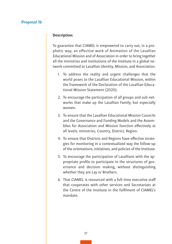#### **Proposal 1b**

#### **Description:**

To guarantee that CIAMEL is empowered to carry out, in a prophetic way, an effective work of Animation of the Lasallian Educational Mission and of Association in order to bring together all the ministries and institutions of the Institute in a global network committed to Lasallian Identity, Mission, and Association.

- 1. To address the reality and urgent challenges that the world poses to the Lasallian Educational Mission, within the framework of the Declaration of the Lasallian Educational Mission Statement (2020).
- 2. To encourage the participation of all groups and sub-networks that make up the Lasallian Family, but especially women.
- 3. To ensure that the Lasallian Educational Mission Councils and the Governance and Funding Models and the Assemblies for Association and Mission function effectively at all levels: ministries, Country, District, Region.
- 4. To ensure that Districts and Regions have effective strategies for monitoring in a contextualized way the follow-up of the orientations, initiatives, and policies of the Institute.
- 5. To encourage the participation of Lasallians with the appropriate profile to participate in the structures of governance and decision making, without distinguishing whether they are Lay or Brothers.
- 6. That CIAMEL is resourced with a full-time executive staff that cooperates with other services and Secretariats at the Centre of the Institute in the fulfilment of CIAMEL's mandate.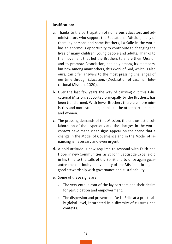#### **Justification:**

- **a.** Thanks to the participation of numerous educators and administrators who support the Educational Mission, many of them lay persons and some Brothers, La Salle in the world has an enormous opportunity to contribute to changing the lives of many children, young people and adults. Thanks to the movement that led the Brothers to share their Mission and to promote Association, not only among its members, but now among many others, this Work of God, which is also ours, can offer answers to the most pressing challenges of our time through Education. (Declaration of Lasallian Educational Mission, 2020).
- **b.** Over the last few years the way of carrying out this Educational Mission, supported principally by the Brothers, has been transformed. With fewer Brothers there are more ministries and more students, thanks to the other partner, men, and women.
- **c.** The pressing demands of this Mission, the enthusiastic collaboration of the laypersons and the changes in the world context have made clear signs appear on the scene that a change in the Model of Governance and in the Model of Financing is necessary and even urgent.
- **d.** A bold attitude is now required to respond with Faith and Hope, in new Communities, as St. John Baptist de La Salle did in his time to the calls of the Spirit and to once again guarantee the continuity and viability of the Mission, through a good stewardship with governance and sustainability.
- **e.** Some of these signs are:
	- The very enthusiasm of the lay partners and their desire for participation and empowerment.
	- The dispersion and presence of De La Salle at a practically global level, incarnated in a diversity of cultures and contexts.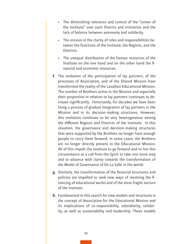- The diminishing relevance and control of the "center of the Institute" over each District and ministries and the lack of balance between autonomy and solidarity.
- The erosion in the clarity of roles and responsibilities between the functions of the Institute, the Regions, and the **Districts**
- The unequal distribution of the human resources of the Institute on the one hand and on the other hand the financial and economic resources.
- **f.** The evolution of the participation of lay partners, of the processes of Association, and of the Shared Mission have transformed the reality of the Lasallian Educational Mission. The number of Brothers active in the Mission and especially their proportion in relation to lay partners continues to decrease significantly. Fortunately, for decades we have been living a process of gradual integration of lay partners in the Mission and in its decision-making structures. However, this evolution continues to be very heterogeneous among the different Regions and Districts of the Institute. In this situation, the governance and decision-making structures that were supported by the Brothers no longer have enough people to carry them forward. In some cases, the Brothers are no longer directly present in the Educational Mission. All of this impels the Institute to go forward and to live this circumstance as a call from the Spirit to take one more step and to advance with clarity towards the transformation of the Model of Governance of De La Salle in the world.
- **g.** Similarly, the transformation of the financial structures and policies are impelled to seek new ways of resolving the financing of educational works and of the most fragile sectors of the Institute.
- **h.** Fundamental in this search for new models and structures is the concept of Association for the Educational Mission and its implications of co-responsibility, subsidiarity, solidarity, as well as sustainability and leadership. These models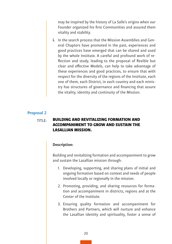may be inspired by the history of La Salle's origins when our Founder organized his first Communities and assured them vitality and stability.

**i.** In the search process that the Mission Assemblies and General Chapters have promoted in the past, experiences and good practices have emerged that can be shared and used by the whole Institute. A careful and profound work of reflection and study, leading to the proposal of flexible but clear and effective Models, can help to take advantage of these experiences and good practices, to ensure that with respect for the diversity of the regions of the Institute, each one of them, each District, in each country and each ministry has structures of governance and financing that assure the vitality, identity and continuity of the Mission.

#### **Proposal 2**

#### TITLE: BUILDING AND REVITALIZING FORMATION AND ACCOMPANIMENT TO GROW AND SUSTAIN THE LASALLIAN MISSION.

#### **Description:**

Building and revitalizing formation and accompaniment to grow and sustain the Lasallian mission through:

- 1. Developing, supporting, and sharing plans of initial and ongoing formation based on context and needs of people involved locally or regionally in the mission.
- 2. Promoting, providing, and sharing resources for formation and accompaniment in districts, regions and at the Center of the Institute.
- 3. Ensuring quality formation and accompaniment for Brothers and Partners, which will nurture and enhance the Lasallian identity and spirituality, foster a sense of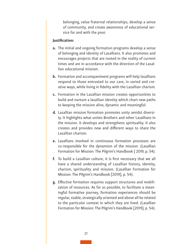belonging, value fraternal relationships, develop a sense of community, and create awareness of educational service for and with the poor.

#### **Justification:**

- **a.** The initial and ongoing formation programs develop a sense of belonging and identity of Lasallians. It also promotes and encourages projects that are rooted in the reality of current times and are in accordance with the direction of the Lasallian educational mission.
- **b.** Formation and accompaniment programs will help lasallians respond to those entrusted to our care, in varied and creative ways, while living in fidelity with the Lasallian charism.
- **c.** Formation in the Lasallian mission creates opportunities to build and nurture a lasallian identity which chart new paths to keeping the mission alive, dynamic and meaningful.
- **d.** Lasallian mission formation promotes unity amidst diversity. It highlights what unites Brothers and other Lasallians in the mission. It develops and strengthens spirituality. It also creates and provides new and different ways to share the Lasallian charism.
- **e.** Lasallians involved in continuous formation processes are co-responsible for the dynamism of the mission. (Lasallian Formation for Mission: The Pilgrim's Handbook [ 2019, p. 54).
- **f.** To build a Lasallian culture, it is first necessary that we all have a shared understanding of Lasallian history, identity, charism, spirituality and mission. (Lasallian Formation for Mission: The Pilgrim's Handbook [2019], p. 54).
- **g.** Effective formation requires support structures and mobilization of resources. As far as possible, to facilitate a meaningful formative journey, formation experiences should be regular, stable, strategically oriented and above all be related to the particular context in which they are lived. (Lasallian Formation for Mission: The Pilgrim's Handbook [2019], p. 54).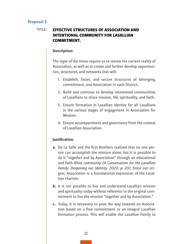#### **Proposal 3**

#### TITLE: EFFECTIVE STRUCTURES OF ASSOCIATION AND INTENTIONAL COMMUNITY FOR LASALLIAN COMMITMENT.

#### **Description:**

The signs of the times require us to review the current reality of Association, as well as to create and further develop opportunities, structures, and networks that will:

- 1. Establish, foster, and secure structures of belonging, commitment, and Association in each District.
- 2. Build and continue to develop intentional communities of Lasallians to share mission, life, spirituality, and faith.
- 3. Ensure formation in Lasallian identity for all Lasallians in the various stages of engagement in Association for Mission.
- 4. Ensure accompaniment and governance from the context of Lasallian Association.

#### **Justification:**

- **a.** De La Salle and the first Brothers realized that no one person can accomplish the mission alone, but it is possible to do it "together and by Association" through an educational and faith-filled *community (A Conversation for the Lasallian Family: Deepening our Identity. 2020. p. 20).* Since our origins, Association is a foundational expression of the Lasallian charism.
- **b.** It is not possible to live and understand Lasallian mission and spirituality today without reference to the original commitment to live the mission "together and by Association."
- **c.** Today, it is necessary to pave the way towards an Association based on a free commitment to an integral Lasallian formation process. This will enable the Lasallian Family to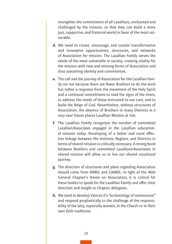strengthen the commitment of all Lasallians, enchanted and challenged by the mission, so that they can build a more just, supportive, and fraternal world in favor of the most vulnerable.

- **d.** We need to create, encourage, and sustain transformative and innovative opportunities, structures, and networks of Association for mission. The Lasallian Family serves the needs of the most vulnerable in society, creating vitality for the mission with new and existing forms of Association and thus sustaining identity and commitment.
- **e.** The call and the journey of Association for the Lasallian Family are not because there are fewer Brothers to do the work but rather a response from the movement of the Holy Spirit and a continual commitment to read the signs of the times, to address the needs of those entrusted to our care, and to build the Reign of God. Nevertheless, without structures of Association, the absence of Brothers in many Districts in a very near future places Lasallian Mission at risk.
- **f.** The Lasallian Family recognizes the number of committed Lasallian/Associates engaged in the Lasallian educational mission today. Developing of a better and more effective linkage between the Institute, Regions, and Districts in terms of shared mission is critically necessary. A strong bond between Brothers and committed Lasallians/Associates in shared mission will allow us to live our shared vocational journey.
- **g.** The direction of structures and plans regarding Association should come from AIMEL and CIAMEL. In light of the 46th General Chapter's theme on Association, it is critical for these bodies to speak for the Lasallian Family and offer clear direction and insight to Chapter delegates.
- **h.** We need to develop Vatican II's "ecclesiology of communion" and respond prophetically to the challenge of the responsibility of the laity, especially women, in the Church or in their own faith traditions.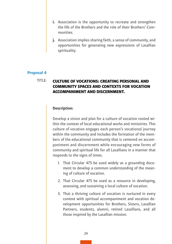- **i.** Association is the opportunity to recreate and strengthen the life of the Brothers and the role of their Brothers' Communities.
- **j.** Association implies sharing faith, a sense of community, and opportunities for generating new expressions of Lasallian spirituality.

#### **Proposal 4**

#### TITLE: CULTURE OF VOCATIONS: CREATING PERSONAL AND COMMUNITY SPACES AND CONTEXTS FOR VOCATION ACCOMPANIMENT AND DISCERNMENT.

#### **Description:**

Develop a vision and plan for a culture of vocation rooted within the context of local educational works and ministries. This culture of vocation engages each person's vocational journey within the community and includes the formation of the members of the educational community that is centered on accompaniment and discernment while encouraging new forms of community and spiritual life for all Lasallians in a manner that responds to the signs of times.

- 1. That Circular 475 be used widely as a grounding document to develop a common understanding of the meaning of culture of vocation.
- 2. That Circular 475 be used as a resource in developing, assessing, and sustaining a local culture of vocation.
- 3. That a thriving culture of vocation is nurtured in every context with spiritual accompaniment and vocation development opportunities for Brothers, Sisters, Lasallian Partners, students, alumni, retired Lasallians, and all those inspired by the Lasallian mission.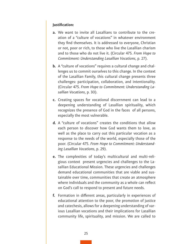#### **Justification:**

- **a.** We want to invite all Lasallians to contribute to the creation of a "culture of vocations" in whatever environment they find themselves. It is addressed to everyone, Christian or not, poor or rich, to those who live the Lasallian charism and to those who do not live it. (Circular 475. *From Hope to Commitment: Understanding Lasallian Vocations*, p. 27).
- **b.** A "culture of vocations" requires a cultural change and challenges us to commit ourselves to this change. In the context of the Lasallian Family, this cultural change presents three challenges: participation, collaboration, and intentionality. (Circular 475. *From Hope to Commitment: Understanding Lasallian Vocations*, p. 30).
- **c.** Creating spaces for vocational discernment can lead to a deepening understanding of Lasallian spirituality, which recognizes the presence of God in the faces of all persons, especially the most vulnerable.
- **d.** A "culture of vocations" creates the conditions that allow each person to discover how God wants them to love, as well as the place to carry out this particular vocation as a response to the needs of the world, especially those of the poor. (Circular 475. *From Hope to Commitment: Understanding Lasallian Vocations*, p. 29).
- **e.** The complexities of today's multicultural and multi-religious context present urgencies and challenges to the Lasallian Educational Mission. These urgencies and challenges demand educational communities that are viable and sustainable over time, communities that create an atmosphere where individuals and the community as a whole can reflect on God's call to respond to present and future needs.
- **f.** Formation in different areas, particularly in experiences of educational attention to the poor, the promotion of justice and catechesis, allows for a deepening understanding of various Lasallian vocations and their implications for Lasallian community life, spirituality, and mission. We are called to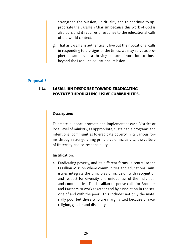strengthen the Mission, Spirituality and to continue to appropriate the Lasallian Charism because this work of God is also ours and it requires a response to the educational calls of the world context.

**g.** That as Lasallians authentically live out their vocational calls in responding to the signs of the times, we may serve as prophetic examples of a thriving culture of vocation to those beyond the Lasallian educational mission.

#### **Proposal 5**

#### TITLE: LASALLIAN RESPONSE TOWARD ERADICATING POVERTY THROUGH INCLUSIVE COMMUNITIES.

#### **Description:**

To create, support, promote and implement at each District or local level of ministry, as appropriate, sustainable programs and intentional communities to eradicate poverty in its various forms through strengthening principles of inclusivity, the culture of fraternity and co-responsibility.

#### **Justification:**

**a.** Eradicating poverty, and its different forms, is central to the Lasallian Mission where communities and educational ministries integrate the principles of inclusion with recognition and respect for diversity and uniqueness of the individual and communities. The Lasallian response calls for Brothers and Partners to work together and by association in the service of and with the poor. This includes not only the materially poor but those who are marginalized because of race, religion, gender and disability.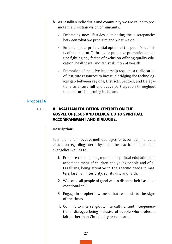- **b.** As Lasallian individuals and community we are called to promote the Christian vision of humanity:
	- Embracing new lifestyles eliminating the discrepancies between what we proclaim and what we do.
	- Embracing our preferential option of the poor, "specificity of the Institute", through a proactive promotion of justice fighting any factor of exclusion offering quality education, healthcare, and redistribution of wealth.
	- Promotion of inclusive leadership requires a reallocation of Institute resources to invest in bridging the technological gap between regions, Districts, Sectors, and Delegations to ensure full and active participation throughout the Institute in forming its future.

#### **Proposal 6**

#### TITLE: A LASALLIAN EDUCATION CENTRED ON THE GOSPEL OF JESUS AND DEDICATED TO SPIRITUAL ACCOMPANIMENT AND DIALOGUE.

#### **Description:**

To implement innovative methodologies for accompaniment and education regarding interiority and in the practice of human and evangelical values to:

- 1. Promote the religious, moral and spiritual education and accompaniment of children and young people and of all Lasallians, being attentive to the specific needs in matters, lasallian interiority, spirituality and faith.
- 2. Welcome all people of good will to discern their Lasallian vocational call.
- 3. Engage in prophetic witness that responds to the signs of the times.
- 4. Commit to interreligious, intercultural and intergenerational dialogue being inclusive of people who profess a faith other than Christianity or none at all.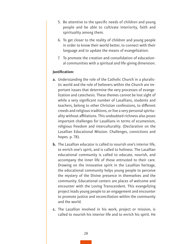- 5. Be attentive to the specific needs of children and young people and be able to cultivate interiority, faith and spirituality among them.
- 6. To get closer to the reality of children and young people in order to know their world better, to connect with their language and to update the means of evangelization.
- 7. To promote the creation and consolidation of educational communities with a spiritual and life-giving dimension.

#### **Justification:**

- **a.** Understanding the role of the Catholic Church in a pluralistic world and the role of believers within the Church are important issues that determine the very processes of evangelization and catechesis. These themes cannot be lost sight of while a very significant number of Lasallians, students and teachers, belong to other Christian confessions, to different creeds and religious traditions, or live a very personal spirituality without affiliations. This undoubted richness also poses important challenges for Lasallians in terms of ecumenism, religious freedom and interculturality. (Declaration on the Lasallian Educational Mission. Challenges, convictions and hopes. p. 78).
- **b.** The Lasallian educator is called to nourish one's interior life, to enrich one's spirit, and is called to holiness. The Lasallian educational community is called to educate, nourish, and accompany the inner life of those entrusted to their care. Drawing on the innovative spirit in the Lasallian heritage, the educational community helps young people to perceive the mystery of the Divine presence in themselves and the community. Educational centers are places of welcome and encounter with the Loving Transcendent. This evangelizing project leads young people to an engagement and encounter to promote justice and reconciliation within the community and the world.
- **c.** The Lasallian involved in his work, project or mission, is called to nourish his interior life and to enrich his spirit. He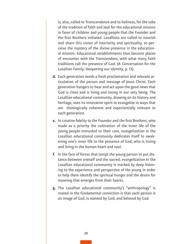is, also, called to Transcendence and to holiness, for the sake of the tradition of faith and zeal for the educational mission in favor of children and young people that the Founder and the first Brothers initiated. Lasallians are called to nourish and share this vision of interiority and spirituality, to perceive the mystery of the divine presence in the educational mission. Educational establishments thus become places of encounter with the Transcendent, with what many faith traditions call the presence of God. (A Conversation for the Lasallian Family: Deepening our Identity, p. 13).

- **d.** Each generation needs a fresh proclamation and relevant articulation of the person and message of Jesus Christ. Each generation hungers to hear and act upon the good news that God is close and is living and loving in our very being. The Lasallian educational community, drawing on its history and heritage, uses its innovative spirit to evangelize in ways that are theologically coherent and experientially relevant to each generation.
- **e.** In creative fidelity to the Founder and the first Brothers, who made as a priority the cultivation of the inner life of the young people entrusted to their care, evangelization in the Lasallian educational community dedicates itself to awakening one's inner life to the presence of God, who is loving and living in the human heart and soul.
- **f.** In the face of forces that tempt the young person to put distance between oneself and the sacred, evangelization in the Lasallian educational community is marked by deep listening to the experience and perspective of the young in order to help them identify the spiritual hunger and the desire for meaning that emerges from their hearts.
- **g.** The Lasallian educational community's "anthropology" is rooted in the fundamental conviction is that each person is an image of God, is wanted by God, and beloved by God.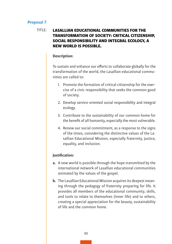#### **Proposal 7**

#### TITLE: LASALLIAN EDUCATIONAL COMMUNITIES FOR THE TRANSFORMATION OF SOCIETY: CRITICAL CITIZENSHIP, SOCIAL RESPONSIBILITY AND INTEGRAL ECOLOGY, A NEW WORLD IS POSSIBLE.

#### **Description:**

To sustain and enhance our efforts to collaborate globally for the transformation of the world, the Lasallian educational communities are called to:

- 1. Promote the formation of critical citizenship for the exercise of a civic responsibility that seeks the common good of society.
- 2. Develop service-oriented social responsibility and integral ecology.
- 3. Contribute to the sustainability of our common home for the benefit of all humanity, especially the most vulnerable.
- 4. Renew our social commitment, as a response to the signs of the times, considering the distinctive values of the Lasallian Educational Mission, especially fraternity, justice, equality, and inclusion.

#### **Justification:**

- **a.** A new world is possible through the hope transmitted by the international network of Lasallian educational communities animated by the values of the gospel.
- **b.** The Lasallian Educational Mission acquires its deepest meaning through the pedagogy of fraternity preparing for life. It provides all members of the educational community, skills, and tools to relate to themselves (inner life) and to others, creating a special appreciation for the beauty, sustainability of life and the common home.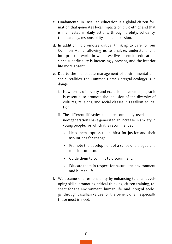- **c.** Fundamental in Lasallian education is a global citizen formation that generates local impacts on civic ethics and that is manifested in daily actions, through probity, solidarity, transparency, responsibility, and compassion.
- **d.** In addition, it promotes critical thinking to care for our Common Home, allowing us to analyze, understand and interpret the world in which we live to enrich education, since superficiality is increasingly present, and the interior life more absent.
- **e.** Due to the inadequate management of environmental and social realities, the Common Home (integral ecology) is in danger:
	- i. New forms of poverty and exclusion have emerged, so it is essential to promote the inclusion of the diversity of cultures, religions, and social classes in Lasallian education.
	- ii. The different lifestyles that are commonly used in the new generations have generated an increase in anxiety in young people, for which it is recommended:
		- Help them express their thirst for justice and their aspirations for change.
		- Promote the development of a sense of dialogue and multiculturalism.
		- Guide them to commit to discernment.
		- Educate them in respect for nature, the environment and human life.
- **f.** We assume this responsibility by enhancing talents, developing skills, promoting critical thinking, citizen training, respect for the environment, human life, and integral ecology, through Lasallian values for the benefit of all, especially those most in need.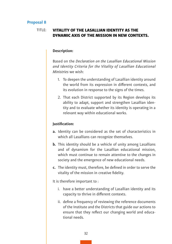#### **Proposal 8**

#### TITLE: VITALITY OF THE LASALLIAN IDENTITY AS THE DYNAMIC AXIS OF THE MISSION IN NEW CONTEXTS.

#### **Description:**

Based on the *Declaration on the Lasallian Educational Mission and Identity Criteria for the Vitality of Lasallian Educational Ministries* we wish:

- 1. To deepen the understanding of Lasallian identity around the world from its expression in different contexts, and its evolution in response to the signs of the times.
- 2. That each District supported by its Region develops its ability to adapt, support and strengthen Lasallian identity and to evaluate whether its identity is operating in a relevant way within educational works.

#### **Justification:**

- **a.** Identity can be considered as the set of characteristics in which all Lasallians can recognize themselves.
- **b.** This identity should be a vehicle of unity among Lasallians and of dynamism for the Lasallian educational mission, which must continue to remain attentive to the changes in society and the emergence of new educational needs.
- **c.** The identity must, therefore, be defined in order to serve the vitality of the mission in creative fidelity.

It is therefore important to :

- i. have a better understanding of Lasallian identity and its capacity to thrive in different contexts.
- ii. define a frequency of reviewing the reference documents of the Institute and the Districts that guide our actions to ensure that they reflect our changing world and educational needs.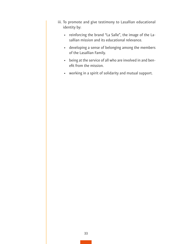- iii. To promote and give testimony to Lasallian educational identity by:
	- reinforcing the brand "La Salle", the image of the Lasallian mission and its educational relevance.
	- developing a sense of belonging among the members of the Lasallian Family.
	- being at the service of all who are involved in and benefit from the mission.
	- working in a spirit of solidarity and mutual support.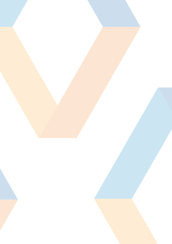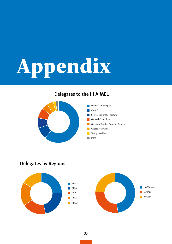## Appendix

#### **Delegates to the III AIMEL**



#### **Delegates by Regions**